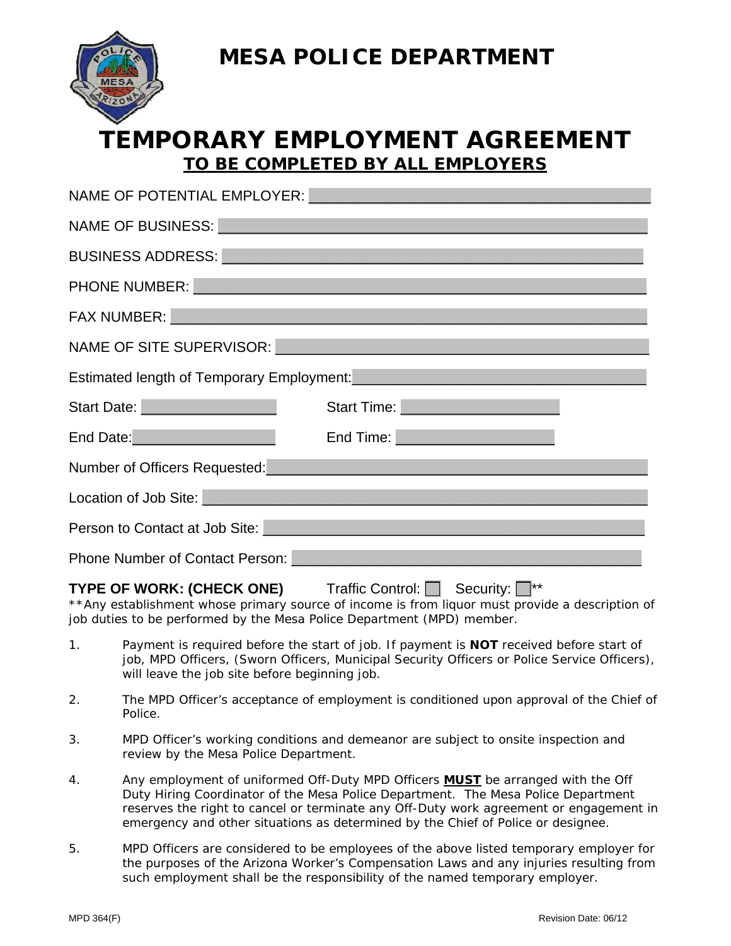**MESA POLICE DEPARTMENT** 



## **TEMPORARY EMPLOYMENT AGREEMENT**  *TO BE COMPLETED BY ALL EMPLOYERS*

| NAME OF POTENTIAL EMPLOYER: NAME OF POTENTIAL EMPLOYER:                                                                                                                                                                              |
|--------------------------------------------------------------------------------------------------------------------------------------------------------------------------------------------------------------------------------------|
| NAME OF BUSINESS: NAME OF BUSINESS:                                                                                                                                                                                                  |
| BUSINESS ADDRESS: New York State State State State State State State State State State State State State State State State State State State State State State State State State State State State State State State State Sta       |
|                                                                                                                                                                                                                                      |
| FAX NUMBER: New York State And the Contract of the Contract of the Contract of the Contract of the Contract of                                                                                                                       |
| NAME OF SITE SUPERVISOR: NAME OF SITE SUPERVISOR:                                                                                                                                                                                    |
|                                                                                                                                                                                                                                      |
| Estimated length of Temporary Employment:<br><u>Extimated length of Temporary Employment:</u>                                                                                                                                        |
| Start Time: New York Start Time: New York Start Time: New York Start Time: New York Start Time: New York Start                                                                                                                       |
| End Date: End Time: End Time:                                                                                                                                                                                                        |
| Number of Officers Requested: Manual According to the Mumber of Officers Requested:                                                                                                                                                  |
| Location of Job Site: Management of Job Site:                                                                                                                                                                                        |
| Person to Contact at Job Site: <b>Exercise and Site Act and Site Act and Site Act and Site Act and Site Act and Site Act and Site Act and Site Act and Site Act and Site Act and Site Act and Site Act and Site Act and Site Act</b> |
|                                                                                                                                                                                                                                      |

## **TYPE OF WORK: (CHECK ONE)** Traffic Control: Security:  $\Box$ \*\*

\*\*Any establishment whose primary source of income is from liquor must provide a description of job duties to be performed by the Mesa Police Department (MPD) member.

- 1. Payment is required before the start of job. If payment is **NOT** received before start of job, MPD Officers, (Sworn Officers, Municipal Security Officers or Police Service Officers), will leave the job site before beginning job.
- 2. The MPD Officer's acceptance of employment is conditioned upon approval of the Chief of Police.
- 3. MPD Officer's working conditions and demeanor are subject to onsite inspection and review by the Mesa Police Department.
- 4. Any employment of uniformed Off-Duty MPD Officers **MUST** be arranged with the Off Duty Hiring Coordinator of the Mesa Police Department. The Mesa Police Department reserves the right to cancel or terminate any Off-Duty work agreement or engagement in emergency and other situations as determined by the Chief of Police or designee.
- 5. MPD Officers are considered to be employees of the above listed temporary employer for the purposes of the Arizona Worker's Compensation Laws and any injuries resulting from such employment shall be the responsibility of the named temporary employer.